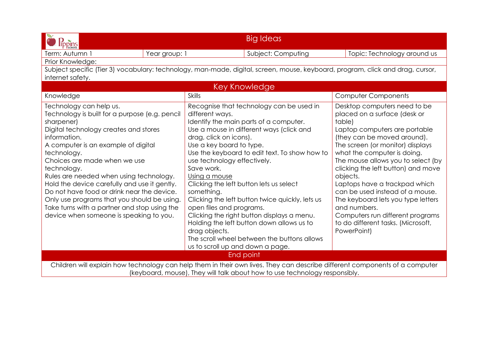| Big Ideas<br><b>Tppins</b>                                                                                                                                                                                                                                                                                                                                                                                                                                                                                                               |                                                                                                                                                                                                                                                                                                                                                                                                                                                                                                                                                                                                                                                               |                                                                                                                                                                                                                                                                                                                                                                                                                                                                                                                      |  |  |
|------------------------------------------------------------------------------------------------------------------------------------------------------------------------------------------------------------------------------------------------------------------------------------------------------------------------------------------------------------------------------------------------------------------------------------------------------------------------------------------------------------------------------------------|---------------------------------------------------------------------------------------------------------------------------------------------------------------------------------------------------------------------------------------------------------------------------------------------------------------------------------------------------------------------------------------------------------------------------------------------------------------------------------------------------------------------------------------------------------------------------------------------------------------------------------------------------------------|----------------------------------------------------------------------------------------------------------------------------------------------------------------------------------------------------------------------------------------------------------------------------------------------------------------------------------------------------------------------------------------------------------------------------------------------------------------------------------------------------------------------|--|--|
| Year group: 1<br>Term: Autumn 1                                                                                                                                                                                                                                                                                                                                                                                                                                                                                                          | Subject: Computing                                                                                                                                                                                                                                                                                                                                                                                                                                                                                                                                                                                                                                            | Topic: Technology around us                                                                                                                                                                                                                                                                                                                                                                                                                                                                                          |  |  |
| Prior Knowledge:                                                                                                                                                                                                                                                                                                                                                                                                                                                                                                                         |                                                                                                                                                                                                                                                                                                                                                                                                                                                                                                                                                                                                                                                               |                                                                                                                                                                                                                                                                                                                                                                                                                                                                                                                      |  |  |
|                                                                                                                                                                                                                                                                                                                                                                                                                                                                                                                                          | Subject specific (Tier 3) vocabulary: technology, man-made, digital, screen, mouse, keyboard, program, click and drag, cursor,                                                                                                                                                                                                                                                                                                                                                                                                                                                                                                                                |                                                                                                                                                                                                                                                                                                                                                                                                                                                                                                                      |  |  |
| internet safety.                                                                                                                                                                                                                                                                                                                                                                                                                                                                                                                         |                                                                                                                                                                                                                                                                                                                                                                                                                                                                                                                                                                                                                                                               |                                                                                                                                                                                                                                                                                                                                                                                                                                                                                                                      |  |  |
|                                                                                                                                                                                                                                                                                                                                                                                                                                                                                                                                          | Key Knowledge                                                                                                                                                                                                                                                                                                                                                                                                                                                                                                                                                                                                                                                 |                                                                                                                                                                                                                                                                                                                                                                                                                                                                                                                      |  |  |
| Knowledge                                                                                                                                                                                                                                                                                                                                                                                                                                                                                                                                | <b>Skills</b>                                                                                                                                                                                                                                                                                                                                                                                                                                                                                                                                                                                                                                                 | <b>Computer Components</b>                                                                                                                                                                                                                                                                                                                                                                                                                                                                                           |  |  |
| Technology can help us.<br>Technology is built for a purpose (e.g. pencil<br>sharpener)<br>Digital technology creates and stores<br>information.<br>A computer is an example of digital<br>technology.<br>Choices are made when we use<br>technology.<br>Rules are needed when using technology.<br>Hold the device carefully and use it gently.<br>Do not have food or drink near the device.<br>Only use programs that you should be using.<br>Take turns with a partner and stop using the<br>device when someone is speaking to you. | Recognise that technology can be used in<br>different ways.<br>Identify the main parts of a computer.<br>Use a mouse in different ways (click and<br>drag, click on icons).<br>Use a key board to type.<br>Use the keyboard to edit text. To show how to<br>use technology effectively.<br>Save work.<br>Using a mouse<br>Clicking the left button lets us select<br>something.<br>Clicking the left button twice quickly, lets us<br>open files and programs.<br>Clicking the right button displays a menu.<br>Holding the left button down allows us to<br>drag objects.<br>The scroll wheel between the buttons allows<br>us to scroll up and down a page. | Desktop computers need to be<br>placed on a surface (desk or<br>table)<br>Laptop computers are portable<br>(they can be moved around).<br>The screen (or monitor) displays<br>what the computer is doing.<br>The mouse allows you to select (by<br>clicking the left button) and move<br>objects.<br>Laptops have a trackpad which<br>can be used instead of a mouse.<br>The keyboard lets you type letters<br>and numbers.<br>Computers run different programs<br>to do different tasks. (Microsoft,<br>PowerPoint) |  |  |
| End point                                                                                                                                                                                                                                                                                                                                                                                                                                                                                                                                |                                                                                                                                                                                                                                                                                                                                                                                                                                                                                                                                                                                                                                                               |                                                                                                                                                                                                                                                                                                                                                                                                                                                                                                                      |  |  |
| Children will explain how technology can help them in their own lives. They can describe different components of a computer<br>(keyboard, mouse), They will talk about how to use technology responsibly.                                                                                                                                                                                                                                                                                                                                |                                                                                                                                                                                                                                                                                                                                                                                                                                                                                                                                                                                                                                                               |                                                                                                                                                                                                                                                                                                                                                                                                                                                                                                                      |  |  |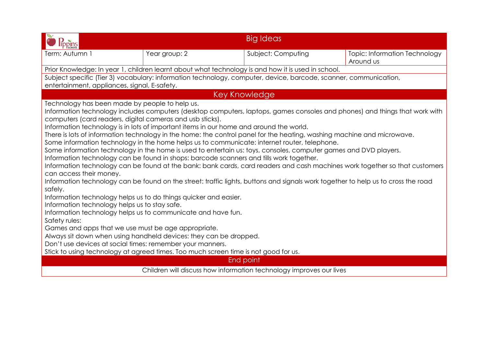| Term: Autumn 1                                                                                                                                                                                                                                                                                                                                                                                                                                                                                     | Year group: 2                                                                                                                                                                                                                                                                                                                                                                                                          | Subject: Computing                                                                                                                                                                                                                                                                                                                                                                                                                                                                                                                                                                                                                                                                                                                | Topic: Information Technology<br>Around us |
|----------------------------------------------------------------------------------------------------------------------------------------------------------------------------------------------------------------------------------------------------------------------------------------------------------------------------------------------------------------------------------------------------------------------------------------------------------------------------------------------------|------------------------------------------------------------------------------------------------------------------------------------------------------------------------------------------------------------------------------------------------------------------------------------------------------------------------------------------------------------------------------------------------------------------------|-----------------------------------------------------------------------------------------------------------------------------------------------------------------------------------------------------------------------------------------------------------------------------------------------------------------------------------------------------------------------------------------------------------------------------------------------------------------------------------------------------------------------------------------------------------------------------------------------------------------------------------------------------------------------------------------------------------------------------------|--------------------------------------------|
|                                                                                                                                                                                                                                                                                                                                                                                                                                                                                                    | Prior Knowledge: In year 1, children learnt about what technology is and how it is used in school.                                                                                                                                                                                                                                                                                                                     |                                                                                                                                                                                                                                                                                                                                                                                                                                                                                                                                                                                                                                                                                                                                   |                                            |
| Subject specific (Tier 3) vocabulary: information technology, computer, device, barcode, scanner, communication,<br>entertainment, appliances, signal, E-safety.                                                                                                                                                                                                                                                                                                                                   |                                                                                                                                                                                                                                                                                                                                                                                                                        |                                                                                                                                                                                                                                                                                                                                                                                                                                                                                                                                                                                                                                                                                                                                   |                                            |
|                                                                                                                                                                                                                                                                                                                                                                                                                                                                                                    |                                                                                                                                                                                                                                                                                                                                                                                                                        | <b>Key Knowledge</b>                                                                                                                                                                                                                                                                                                                                                                                                                                                                                                                                                                                                                                                                                                              |                                            |
| Technology has been made by people to help us.<br>computers (card readers, digital cameras and usb sticks).<br>can access their money.<br>safely.<br>Information technology helps us to do things quicker and easier.<br>Information technology helps us to stay safe.<br>Safety rules:<br>Games and apps that we use must be age appropriate.<br>Don't use devices at social times: remember your manners.<br>Stick to using technology at agreed times. Too much screen time is not good for us. | Information technology is in lots of important items in our home and around the world.<br>Some information technology in the home helps us to communicate: internet router, telephone.<br>Information technology can be found in shops: barcode scanners and tills work together.<br>Information technology helps us to communicate and have fun.<br>Always sit down when using handheld devices: they can be dropped. | Information technology includes computers (desktop computers, laptops, games consoles and phones) and things that work with<br>There is lots of information technology in the home: the control panel for the heating, washing machine and microwave.<br>Some information technology in the home is used to entertain us: toys, consoles, computer games and DVD players.<br>Information technology can be found at the bank: bank cards, card readers and cash machines work together so that customers<br>Information technology can be found on the street: traffic lights, buttons and signals work together to help us to cross the road<br>End point<br>Children will discuss how information technology improves our lives |                                            |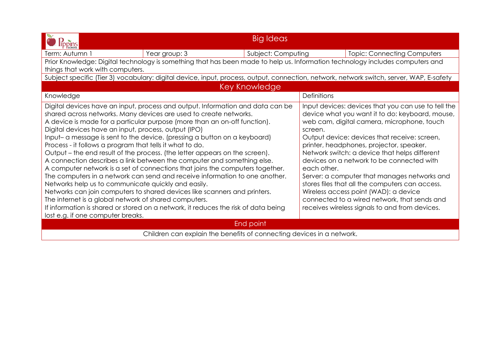|                                                                                                                                  |                                                                                                                               |  | <b>Big Ideas</b>                                    |                                                                                                 |                                                                                                                                          |
|----------------------------------------------------------------------------------------------------------------------------------|-------------------------------------------------------------------------------------------------------------------------------|--|-----------------------------------------------------|-------------------------------------------------------------------------------------------------|------------------------------------------------------------------------------------------------------------------------------------------|
| Term: Autumn 1                                                                                                                   | Year group: 3                                                                                                                 |  | Subject: Computing                                  |                                                                                                 | <b>Topic: Connecting Computers</b>                                                                                                       |
|                                                                                                                                  | Prior Knowledge: Digital technology is something that has been made to help us. Information technology includes computers and |  |                                                     |                                                                                                 |                                                                                                                                          |
| things that work with computers.                                                                                                 |                                                                                                                               |  |                                                     |                                                                                                 |                                                                                                                                          |
|                                                                                                                                  |                                                                                                                               |  |                                                     |                                                                                                 | Subject specific (Tier 3) vocabulary: digital device, input, process, output, connection, network, network switch, server, WAP, E-safety |
|                                                                                                                                  |                                                                                                                               |  | Key Knowledge                                       |                                                                                                 |                                                                                                                                          |
| Knowledge                                                                                                                        |                                                                                                                               |  |                                                     | <b>Definitions</b>                                                                              |                                                                                                                                          |
| Digital devices have an input, process and output. Information and data can be                                                   |                                                                                                                               |  | Input devices: devices that you can use to tell the |                                                                                                 |                                                                                                                                          |
| shared across networks. Many devices are used to create networks.                                                                |                                                                                                                               |  | device what you want it to do: keyboard, mouse,     |                                                                                                 |                                                                                                                                          |
| A device is made for a particular purpose (more than an on-off function).                                                        |                                                                                                                               |  |                                                     |                                                                                                 | web cam, digital camera, microphone, touch                                                                                               |
| Digital devices have an input, process, output (IPO)                                                                             |                                                                                                                               |  |                                                     | screen.                                                                                         |                                                                                                                                          |
| Input- a message is sent to the device. (pressing a button on a keyboard)                                                        |                                                                                                                               |  |                                                     |                                                                                                 | Output device: devices that receive: screen,                                                                                             |
| Process - it follows a program that tells it what to do.                                                                         |                                                                                                                               |  |                                                     | printer, headphones, projector, speaker.                                                        |                                                                                                                                          |
| Output – the end result of the process. (the letter appears on the screen).                                                      |                                                                                                                               |  |                                                     | Network switch: a device that helps different                                                   |                                                                                                                                          |
| A connection describes a link between the computer and something else.                                                           |                                                                                                                               |  |                                                     | devices on a network to be connected with                                                       |                                                                                                                                          |
| A computer network is a set of connections that joins the computers together.                                                    |                                                                                                                               |  | each other.                                         |                                                                                                 |                                                                                                                                          |
| The computers in a network can send and receive information to one another.                                                      |                                                                                                                               |  |                                                     | Server: a computer that manages networks and<br>stores files that all the computers can access. |                                                                                                                                          |
| Networks help us to communicate quickly and easily.<br>Networks can join computers to shared devices like scanners and printers. |                                                                                                                               |  |                                                     | Wireless access point (WAD): a device                                                           |                                                                                                                                          |
| The internet is a global network of shared computers.                                                                            |                                                                                                                               |  |                                                     | connected to a wired network, that sends and                                                    |                                                                                                                                          |
| If information is shared or stored on a network, it reduces the risk of data being                                               |                                                                                                                               |  |                                                     | receives wireless signals to and from devices.                                                  |                                                                                                                                          |
| lost e.g. if one computer breaks.                                                                                                |                                                                                                                               |  |                                                     |                                                                                                 |                                                                                                                                          |
| End point                                                                                                                        |                                                                                                                               |  |                                                     |                                                                                                 |                                                                                                                                          |
| Children can explain the benefits of connecting devices in a network.                                                            |                                                                                                                               |  |                                                     |                                                                                                 |                                                                                                                                          |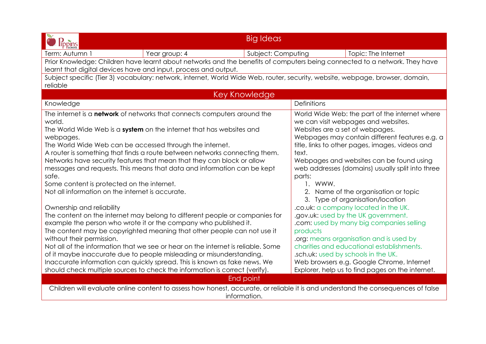| lippins                                                                                                                          |               | <b>Big Ideas</b>   |                                                |                                                  |
|----------------------------------------------------------------------------------------------------------------------------------|---------------|--------------------|------------------------------------------------|--------------------------------------------------|
| Term: Autumn 1                                                                                                                   | Year group: 4 | Subject: Computing |                                                | Topic: The Internet                              |
| Prior Knowledge: Children have learnt about networks and the benefits of computers being connected to a network. They have       |               |                    |                                                |                                                  |
| learnt that digital devices have and input, process and output.                                                                  |               |                    |                                                |                                                  |
| Subject specific (Tier 3) vocabulary: network, internet, World Wide Web, router, security, website, webpage, browser, domain,    |               |                    |                                                |                                                  |
| reliable                                                                                                                         |               |                    |                                                |                                                  |
|                                                                                                                                  |               | Key Knowledge      |                                                |                                                  |
| Knowledge                                                                                                                        |               |                    | Definitions                                    |                                                  |
| The internet is a network of networks that connects computers around the                                                         |               |                    |                                                | World Wide Web: the part of the internet where   |
| world.                                                                                                                           |               |                    |                                                | we can visit webpages and websites.              |
| The World Wide Web is a system on the internet that has websites and                                                             |               |                    | Websites are a set of webpages.                |                                                  |
| webpages.                                                                                                                        |               |                    | Webpages may contain different features e.g. a |                                                  |
| The World Wide Web can be accessed through the internet.                                                                         |               |                    |                                                | title, links to other pages, images, videos and  |
| A router is something that finds a route between networks connecting them.                                                       |               |                    | text.                                          |                                                  |
| Networks have security features that mean that they can block or allow                                                           |               |                    |                                                | Webpages and websites can be found using         |
| messages and requests. This means that data and information can be kept                                                          |               |                    |                                                | web addresses (domains) usually split into three |
| safe.                                                                                                                            |               |                    | parts:                                         |                                                  |
| Some content is protected on the internet.                                                                                       |               |                    | 1. WWW.                                        |                                                  |
| Not all information on the internet is accurate.                                                                                 |               |                    | 2. Name of the organisation or topic           |                                                  |
|                                                                                                                                  |               |                    |                                                | 3. Type of organisation/location                 |
| Ownership and reliability                                                                                                        |               |                    |                                                | .co.uk: a company located in the UK.             |
| The content on the internet may belong to different people or companies for                                                      |               |                    | .gov.uk: used by the UK government.            |                                                  |
| example the person who wrote it or the company who published it.                                                                 |               |                    | .com: used by many big companies selling       |                                                  |
| The content may be copyrighted meaning that other people can not use it                                                          |               |                    | products                                       |                                                  |
| without their permission.                                                                                                        |               |                    |                                                | org: means organisation and is used by           |
| Not all of the information that we see or hear on the internet is reliable. Some                                                 |               |                    |                                                | charities and educational establishments.        |
| of it maybe inaccurate due to people misleading or misunderstanding.                                                             |               |                    |                                                | .sch.uk: used by schools in the UK.              |
| Inaccurate information can quickly spread. This is known as fake news. We                                                        |               |                    |                                                | Web browsers e.g. Google Chrome, Internet        |
| should check multiple sources to check the information is correct (verify).                                                      |               |                    |                                                | Explorer, help us to find pages on the internet. |
| End point                                                                                                                        |               |                    |                                                |                                                  |
| Children will evaluate online content to assess how honest, accurate, or reliable it is and understand the consequences of false |               |                    |                                                |                                                  |
| information.                                                                                                                     |               |                    |                                                |                                                  |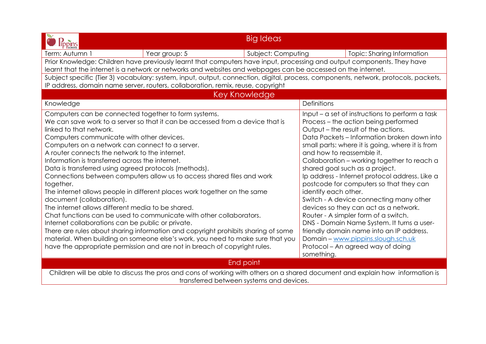| <b>lippins</b>                                                                                                                                                                                                                                                                                                                                                                                                                                                                                                                                                                                                                                                                                                                                                                                                                                                                                                                                                                                                                                                      | <b>Big Ideas</b>                                                                                                                                                                                                                                                                                                                                                                                                                                                                                                                                                                                                                                                                                                                                                                      |  |  |  |
|---------------------------------------------------------------------------------------------------------------------------------------------------------------------------------------------------------------------------------------------------------------------------------------------------------------------------------------------------------------------------------------------------------------------------------------------------------------------------------------------------------------------------------------------------------------------------------------------------------------------------------------------------------------------------------------------------------------------------------------------------------------------------------------------------------------------------------------------------------------------------------------------------------------------------------------------------------------------------------------------------------------------------------------------------------------------|---------------------------------------------------------------------------------------------------------------------------------------------------------------------------------------------------------------------------------------------------------------------------------------------------------------------------------------------------------------------------------------------------------------------------------------------------------------------------------------------------------------------------------------------------------------------------------------------------------------------------------------------------------------------------------------------------------------------------------------------------------------------------------------|--|--|--|
| Year group: 5<br>Term: Autumn                                                                                                                                                                                                                                                                                                                                                                                                                                                                                                                                                                                                                                                                                                                                                                                                                                                                                                                                                                                                                                       | Subject: Computing<br>Topic: Sharing Information                                                                                                                                                                                                                                                                                                                                                                                                                                                                                                                                                                                                                                                                                                                                      |  |  |  |
| Prior Knowledge: Children have previously learnt that computers have input, processing and output components. They have<br>learnt that the internet is a network or networks and websites and webpages can be accessed on the internet.<br>Subject specific (Tier 3) vocabulary: system, input, output, connection, digital, process, components, network, protocols, packets,<br>IP address, domain name server, routers, collaboration, remix, reuse, copyright                                                                                                                                                                                                                                                                                                                                                                                                                                                                                                                                                                                                   |                                                                                                                                                                                                                                                                                                                                                                                                                                                                                                                                                                                                                                                                                                                                                                                       |  |  |  |
| Key Knowledge                                                                                                                                                                                                                                                                                                                                                                                                                                                                                                                                                                                                                                                                                                                                                                                                                                                                                                                                                                                                                                                       |                                                                                                                                                                                                                                                                                                                                                                                                                                                                                                                                                                                                                                                                                                                                                                                       |  |  |  |
| Knowledge                                                                                                                                                                                                                                                                                                                                                                                                                                                                                                                                                                                                                                                                                                                                                                                                                                                                                                                                                                                                                                                           | <b>Definitions</b>                                                                                                                                                                                                                                                                                                                                                                                                                                                                                                                                                                                                                                                                                                                                                                    |  |  |  |
| Computers can be connected together to form systems.<br>We can save work to a server so that it can be accessed from a device that is<br>linked to that network.<br>Computers communicate with other devices.<br>Computers on a network can connect to a server.<br>A router connects the network to the internet.<br>Information is transferred across the internet.<br>Data is transferred using agreed protocols (methods).<br>Connections between computers allow us to access shared files and work<br>together.<br>The internet allows people in different places work together on the same<br>document (collaboration).<br>The internet allows different media to be shared.<br>Chat functions can be used to communicate with other collaborators.<br>Internet collaborations can be public or private.<br>There are rules about sharing information and copyright prohibits sharing of some<br>material. When building on someone else's work, you need to make sure that you<br>have the appropriate permission and are not in breach of copyright rules. | Input $-$ a set of instructions to perform a task<br>Process – the action being performed<br>Output – the result of the actions.<br>Data Packets – Information broken down into<br>small parts: where it is going, where it is from<br>and how to reassemble it.<br>Collaboration - working together to reach a<br>shared goal such as a project.<br>Ip address - Internet protocol address. Like a<br>postcode for computers so that they can<br>identify each other.<br>Switch - A device connecting many other<br>devices so they can act as a network.<br>Router - A simpler form of a switch.<br>DNS - Domain Name System. It turns a user-<br>friendly domain name into an IP address.<br>Domain - www.pippins.slough.sch.uk<br>Protocol – An agreed way of doing<br>something. |  |  |  |
| End point                                                                                                                                                                                                                                                                                                                                                                                                                                                                                                                                                                                                                                                                                                                                                                                                                                                                                                                                                                                                                                                           |                                                                                                                                                                                                                                                                                                                                                                                                                                                                                                                                                                                                                                                                                                                                                                                       |  |  |  |
| Children will be able to discuss the pros and cons of working with others on a shared document and explain how information is<br>transferred between systems and devices.                                                                                                                                                                                                                                                                                                                                                                                                                                                                                                                                                                                                                                                                                                                                                                                                                                                                                           |                                                                                                                                                                                                                                                                                                                                                                                                                                                                                                                                                                                                                                                                                                                                                                                       |  |  |  |